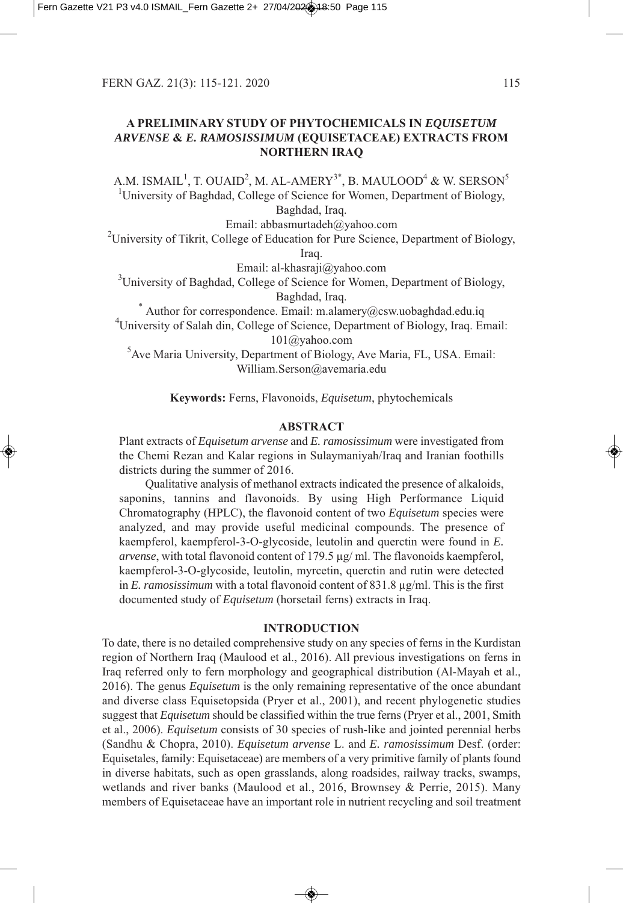# **A PRELIMINARY STUDY OF PHYTOCHEMICALS IN** *EQUISETUM ARVENSE* **&** *E. RAMOSISSIMUM* **(EQUISETACEAE) EXTRACTS FROM NORTHERN IRAQ**

A.M. ISMAIL $^1$ , T. OUAID $^2$ , M. AL-AMERY $^{3^\ast}$ , B. MAULOOD $^4$  & W. SERSON $^5$ <sup>1</sup>University of Baghdad, College of Science for Women, Department of Biology,

Baghdad, Iraq.

Email: abbasmurtadeh@yahoo.com

 $^{2}$ University of Tikrit, College of Education for Pure Science, Department of Biology,

Iraq.

Email: al-khasraji@yahoo.com

 $3$ University of Baghdad, College of Science for Women, Department of Biology,  $B$ aghdad, Iraq.<br>\* Author for correspondence. Email: m.alamery@csw.uobaghdad.edu.iq

4 University of Salah din, College of Science, Department of Biology, Iraq. Email: 101@yahoo.com

5 Ave Maria University, Department of Biology, Ave Maria, FL, USA. Email: William.Serson@avemaria.edu

**Keywords:** Ferns, Flavonoids, *Equisetum*, phytochemicals

## **ABSTRACT**

Plant extracts of *Equisetum arvense* and *E. ramosissimum* were investigated from the Chemi Rezan and Kalar regions in Sulaymaniyah/Iraq and Iranian foothills districts during the summer of 2016.

Qualitative analysis of methanol extracts indicated the presence of alkaloids, saponins, tannins and flavonoids. By using High Performance Liquid Chromatography HPLC, the flavonoid content of two *Equisetum* species were analyzed, and may provide useful medicinal compounds. The presence of kaempferol, kaempferol-3-O-glycoside, leutolin and querctin were found in *E*. *arvense*, with total flavonoid content of 179.5 µg/ ml. The flavonoids kaempferol, kaempferol-3-O-glycoside, leutolin, myrcetin, querctin and rutin were detected in *E. ramosissimum* with a total flavonoid content of 831.8 µg/ml. This is the first documented study of *Equisetum* (horsetail ferns) extracts in Iraq.

# **INTRODUCTION**

To date, there is no detailed comprehensive study on any species of ferns in the Kurdistan region of Northern Iraq (Maulood et al., 2016). All previous investigations on ferns in Iraq referred only to fern morphology and geographical distribution Al-Mayah et al., 06. The genus *Equisetum* is the only remaining representative of the once abundant and diverse class Equisetopsida (Pryer et al., 2001), and recent phylogenetic studies suggest that *Equisetum* should be classified within the true ferns (Pryer et al., 2001, Smith et al., 2006). *Equisetum* consists of 30 species of rush-like and jointed perennial herbs (Sandhu & Chopra, 2010). *Equisetum arvense* L. and *E. ramosissimum* Desf. (order: Equisetales, family: Equisetaceae) are members of a very primitive family of plants found in diverse habitats, such as open grasslands, along roadsides, railway tracks, swamps, wetlands and river banks (Maulood et al., 2016, Brownsey & Perrie, 2015). Many members of Equisetaceae have an important role in nutrient recycling and soil treatment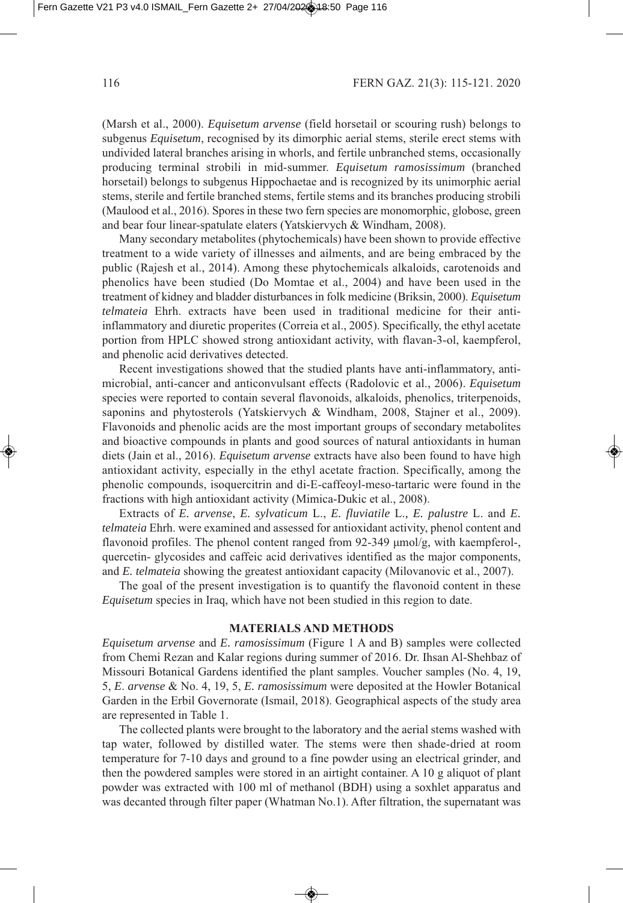(Marsh et al., 2000). *Equisetum arvense* (field horsetail or scouring rush) belongs to subgenus *Equisetum*, recognised by its dimorphic aerial stems, sterile erect stems with undivided lateral branches arising in whorls, and fertile unbranched stems, occasionally producing terminal strobili in mid-summer. *Equisetum ramosissimum* (branched horsetail) belongs to subgenus Hippochaetae and is recognized by its unimorphic aerial stems, sterile and fertile branched stems, fertile stems and its branches producing strobili (Maulood et al., 2016). Spores in these two fern species are monomorphic, globose, green and bear four linear-spatulate elaters (Yatskiervych & Windham, 2008).

Many secondary metabolites (phytochemicals) have been shown to provide effective treatment to a wide variety of illnesses and ailments, and are being embraced by the public (Rajesh et al., 2014). Among these phytochemicals alkaloids, carotenoids and phenolics have been studied (Do Momtae et al., 2004) and have been used in the treatment of kidney and bladder disturbances in folk medicine Briksin, 000. *Equisetum telmateia* Ehrh. extracts have been used in traditional medicine for their antiinflammatory and diuretic properites Correia et al., 005. Specifically, the ethyl acetate portion from HPLC showed strong antioxidant activity, with flavan-3-ol, kaempferol, and phenolic acid derivatives detected.

Recent investigations showed that the studied plants have anti-inflammatory, antimicrobial, anti-cancer and anticonvulsant effects Radolovic et al., 006. *Equisetum* species were reported to contain several flavonoids, alkaloids, phenolics, triterpenoids, saponins and phytosterols (Yatskiervych & Windham, 2008, Stajner et al., 2009). Flavonoids and phenolic acids are the most important groups of secondary metabolites and bioactive compounds in plants and good sources of natural antioxidants in human diets (Jain et al., 2016). *Equisetum arvense* extracts have also been found to have high antioxidant activity, especially in the ethyl acetate fraction. Specifically, among the phenolic compounds, isoquercitrin and di-E-caffeoyl-meso-tartaric were found in the fractions with high antioxidant activity (Mimica-Dukic et al., 2008).

Extracts of *E. arvense*, *E. sylvaticum* L., *E. fluviatile* L.*, E. palustre* L. and *E. telmateia* Ehrh. were examined and assessed for antioxidant activity, phenol content and flavonoid profiles. The phenol content ranged from 92-349 μmol/g, with kaempferol-, quercetin- glycosides and caffeic acid derivatives identified as the major components, and *E. telmateia* showing the greatest antioxidant capacity (Milovanovic et al., 2007).

The goal of the present investigation is to quantify the flavonoid content in these *Equisetum* species in Iraq, which have not been studied in this region to date.

### **MATERIALS AND METHODS**

*Equisetum arvense* and *E. ramosissimum* (Figure 1 A and B) samples were collected from Chemi Rezan and Kalar regions during summer of 2016. Dr. Ihsan Al-Shehbaz of Missouri Botanical Gardens identified the plant samples. Voucher samples (No. 4, 19, 5, *E*. *arvense* & No. 4, 9, 5, *E. ramosissimum* were deposited at the Howler Botanical Garden in the Erbil Governorate (Ismail, 2018). Geographical aspects of the study area are represented in Table 1.

The collected plants were brought to the laboratory and the aerial stems washed with tap water, followed by distilled water. The stems were then shade-dried at room temperature for 7-0 days and ground to a fine powder using an electrical grinder, and then the powdered samples were stored in an airtight container. A 0 g aliquot of plant powder was extracted with 100 ml of methanol (BDH) using a soxhlet apparatus and was decanted through filter paper (Whatman No.1). After filtration, the supernatant was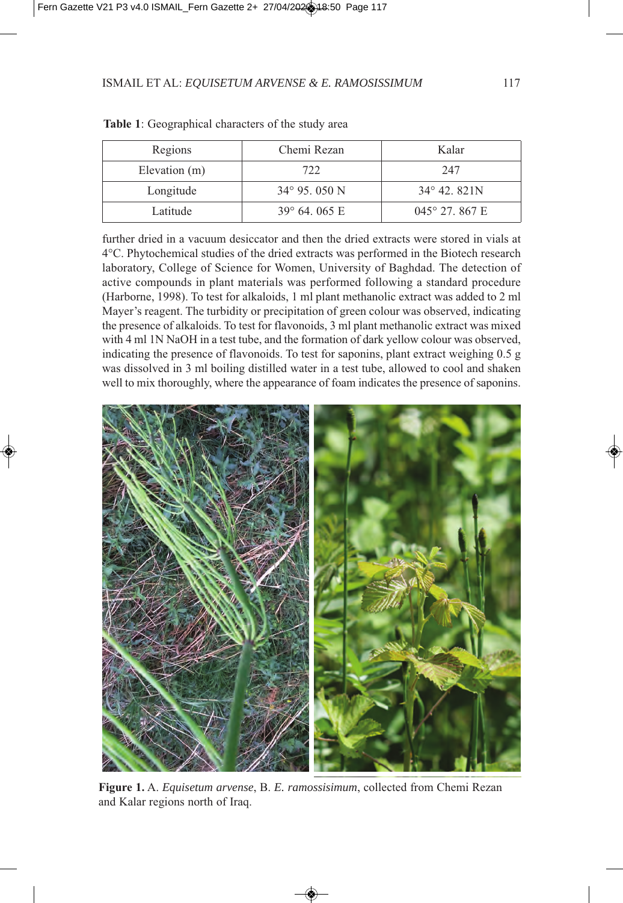| Regions       | Chemi Rezan            | Kalar                   |
|---------------|------------------------|-------------------------|
| Elevation (m) | 722                    | 247                     |
| Longitude     | $34^{\circ}$ 95, 050 N | 34° 42. 821N            |
| Latitude      | $39^{\circ}$ 64, 065 E | $045^{\circ}$ 27, 867 E |

**Table 1**: Geographical characters of the study area

further dried in a vacuum desiccator and then the dried extracts were stored in vials at 4°C. Phytochemical studies of the dried extracts was performed in the Biotech research laboratory, College of Science for Women, University of Baghdad. The detection of active compounds in plant materials was performed following a standard procedure (Harborne, 1998). To test for alkaloids, 1 ml plant methanolic extract was added to 2 ml Mayer's reagent. The turbidity or precipitation of green colour was observed, indicating the presence of alkaloids. To test for flavonoids, 3 ml plant methanolic extract was mixed with 4 ml 1N NaOH in a test tube, and the formation of dark yellow colour was observed, indicating the presence of flavonoids. To test for saponins, plant extract weighing 0.5 g was dissolved in 3 ml boiling distilled water in a test tube, allowed to cool and shaken well to mix thoroughly, where the appearance of foam indicates the presence of saponins.



**Figure 1.** A. *Equisetum arvense*, B. *E. ramossisimum*, collected from Chemi Rezan and Kalar regions north of Iraq.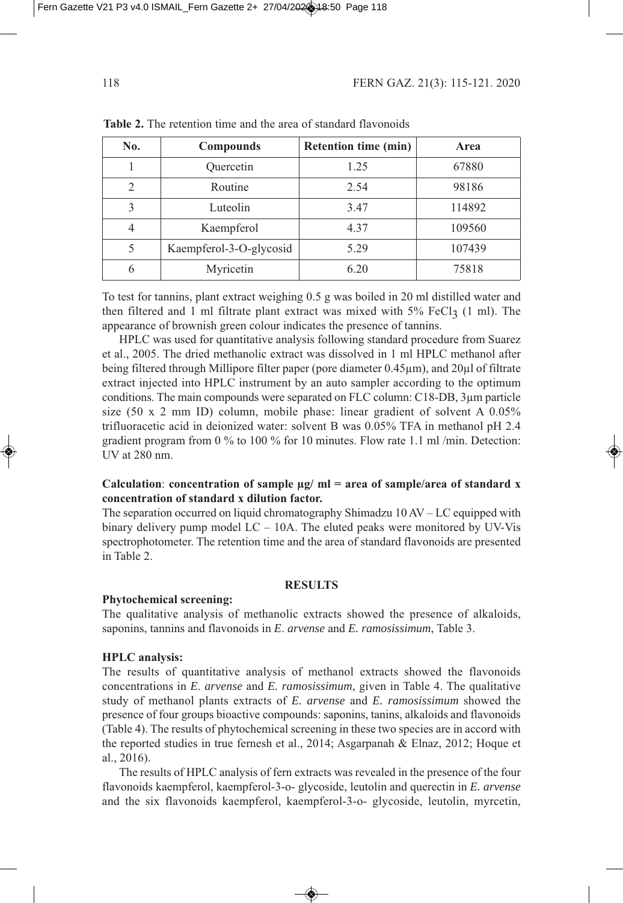| No.                         | <b>Compounds</b>        | <b>Retention time (min)</b> | Area   |
|-----------------------------|-------------------------|-----------------------------|--------|
|                             | Quercetin               | 1.25                        | 67880  |
| $\mathcal{D}_{\mathcal{L}}$ | Routine                 | 2.54                        | 98186  |
| 3                           | Luteolin                | 3.47                        | 114892 |
|                             | Kaempferol              | 4.37                        | 109560 |
|                             | Kaempferol-3-O-glycosid | 5.29                        | 107439 |
|                             | Myricetin               | 6.20                        | 75818  |

**Table 2.** The retention time and the area of standard flavonoids

To test for tannins, plant extract weighing  $0.5$  g was boiled in 20 ml distilled water and then filtered and 1 ml filtrate plant extract was mixed with  $5\%$  FeCl<sub>3</sub> (1 ml). The appearance of brownish green colour indicates the presence of tannins.

HPLC was used for quantitative analysis following standard procedure from Suarez et al., 2005. The dried methanolic extract was dissolved in 1 ml HPLC methanol after being filtered through Millipore filter paper (pore diameter 0.45µm), and 20µl of filtrate extract injected into HPLC instrument by an auto sampler according to the optimum conditions. The main compounds were separated on FLC column: C18-DB, 3um particle size  $(50 \times 2 \text{ mm ID})$  column, mobile phase: linear gradient of solvent A 0.05% trifluoracetic acid in deionized water: solvent B was  $0.05\%$  TFA in methanol pH 2.4 gradient program from 0 % to 100 % for 10 minutes. Flow rate 1.1 ml/min. Detection:  $UV$  at  $280$  nm.

# **Calculation**: **concentration of sample µg/ ml = area of sample/area of standard x concentration of standard x dilution factor.**

The separation occurred on liquid chromatography Shimadzu  $10 \text{ AV} - \text{LC}$  equipped with binary delivery pump model  $LC - 10A$ . The eluted peaks were monitored by UV-Vis spectrophotometer. The retention time and the area of standard flavonoids are presented in Table 2.

### **RESULTS**

#### **Phytochemical screening:**

The qualitative analysis of methanolic extracts showed the presence of alkaloids, saponins, tannins and flavonoids in *E. arvense* and *E. ramosissimum*, Table 3.

#### **HPLC analysis:**

The results of quantitative analysis of methanol extracts showed the flavonoids concentrations in *E*. *arvense* and *E. ramosissimum*, given in Table 4. The qualitative study of methanol plants extracts of *E. arvense* and *E. ramosissimum* showed the presence of four groups bioactive compounds: saponins, tanins, alkaloids and flavonoids Table 4. The results of phytochemical screening in these two species are in accord with the reported studies in true fernesh et al., 2014; Asgarpanah  $\&$  Elnaz, 2012; Hoque et al., 2016).

The results of HPLC analysis of fern extracts was revealed in the presence of the four flavonoids kaempferol, kaempferol-3-o- glycoside, leutolin and querectin in *E. arvense* and the six flavonoids kaempferol, kaempferol-3-o- glycoside, leutolin, myrcetin,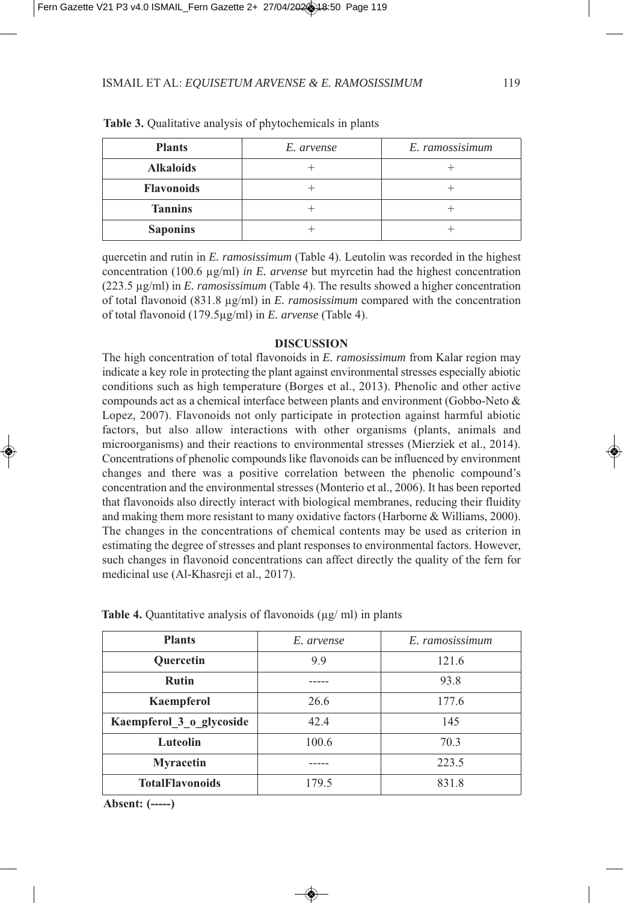| <b>Plants</b>     | E. arvense | E. ramossisimum |
|-------------------|------------|-----------------|
| <b>Alkaloids</b>  |            |                 |
| <b>Flavonoids</b> |            |                 |
| <b>Tannins</b>    |            |                 |
| <b>Saponins</b>   |            |                 |

**Table 3.** Qualitative analysis of phytochemicals in plants

quercetin and rutin in *E. ramosissimum* Table 4. Leutolin was recorded in the highest concentration  $(100.6 \text{ µg/ml})$  *in E. arvense* but myrcetin had the highest concentration (223.5 µg/ml) in *E. ramosissimum* (Table 4). The results showed a higher concentration of total flavonoid 8.8 µg/ml in *E. ramosissimum* compared with the concentration of total flavonoid (179.5µg/ml) in *E. arvense* (Table 4).

#### **DISCUSSION**

The high concentration of total flavonoids in *E. ramosissimum* from Kalar region may indicate a key role in protecting the plant against environmental stresses especially abiotic conditions such as high temperature (Borges et al., 2013). Phenolic and other active compounds act as a chemical interface between plants and environment Gobbo-Neto & Lopez, 2007). Flavonoids not only participate in protection against harmful abiotic factors, but also allow interactions with other organisms (plants, animals and microorganisms) and their reactions to environmental stresses (Mierziek et al., 2014). Concentrations of phenolic compounds like flavonoids can be influenced by environment changes and there was a positive correlation between the phenolic compound's concentration and the environmental stresses (Monterio et al., 2006). It has been reported that flavonoids also directly interact with biological membranes, reducing their fluidity and making them more resistant to many oxidative factors (Harborne & Williams, 2000). The changes in the concentrations of chemical contents may be used as criterion in estimating the degree of stresses and plant responses to environmental factors. However, such changes in flavonoid concentrations can affect directly the quality of the fern for medicinal use (Al-Khasreji et al., 2017).

| <b>Plants</b>            | E. arvense | E. ramosissimum |
|--------------------------|------------|-----------------|
| <b>Ouercetin</b>         | 9.9        | 121.6           |
| <b>Rutin</b>             |            | 93.8            |
| Kaempferol               | 26.6       | 177.6           |
| Kaempferol 3 o glycoside | 42.4       | 145             |
| Luteolin                 | 100.6      | 70.3            |
| <b>Myracetin</b>         |            | 223.5           |
| <b>TotalFlavonoids</b>   | 179.5      | 831.8           |

**Table 4.** Quantitative analysis of flavonoids ( $\mu$ g/ ml) in plants

**Absent: (-----)**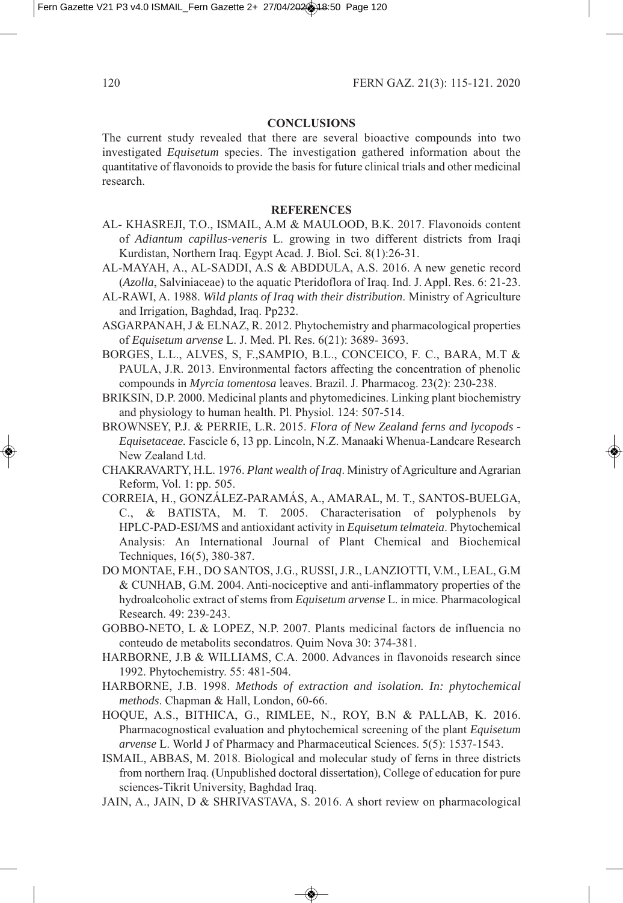## **CONCLUSIONS**

The current study revealed that there are several bioactive compounds into two investigated *Equisetum* species. The investigation gathered information about the quantitative of flavonoids to provide the basis for future clinical trials and other medicinal research.

### **REFERENCES**

- AL- KHASREJI, T.O., ISMAIL, A.M & MAULOOD, B.K. 2017. Flavonoids content of *Adiantum capillus-veneris* L. growing in two different districts from Iraqi Kurdistan, Northern Iraq. Egypt Acad. J. Biol. Sci. 8(1):26-31.
- AL-MAYAH, A., AL-SADDI, A.S & ABDDULA, A.S. 2016. A new genetic record *Azolla*, Salviniaceae) to the aquatic Pteridoflora of Iraq. Ind. J. Appl. Res. 6: 21-23.
- AL-RAWI, A. 988. *Wild plants of Iraq with their distribution*. Ministry of Agriculture and Irrigation, Baghdad, Iraq. Pp232.
- ASGARPANAH, J & ELNAZ, R. 2012. Phytochemistry and pharmacological properties of *Equisetum arvense* L. J. Med. Pl. Res. 6(21): 3689-3693.
- BORGES, L.L., ALVES, S, F.,SAMPIO, B.L., CONCEICO, F. C., BARA, M.T & PAULA, J.R. 2013. Environmental factors affecting the concentration of phenolic compounds in *Myrcia tomentosa* leaves. Brazil. J. Pharmacog. 23(2): 230-238.
- BRIKSIN, D.P. 000. Medicinal plants and phytomedicines. Linking plant biochemistry and physiology to human health. Pl. Physiol. 124: 507-514.
- BROWNSEY, P.J. & PERRIE, L.R. 05. *Flora of New Zealand ferns and lycopods - Equisetaceae*. Fascicle 6, 13 pp. Lincoln, N.Z. Manaaki Whenua-Landcare Research New Zealand Ltd.
- CHAKRAVARTY, H.L. 976. *Plant wealth of Iraq*. Ministry of Agriculture and Agrarian Reform, Vol. 1: pp. 505.
- CORREIA, H., GONZÁLEZ‐PARAMÁS, A., AMARAL, M. T., SANTOS‐BUELGA, C., & BATISTA, M. T. 005. Characterisation of polyphenols by HPLC‐PAD‐ESI/MS and antioxidant activity in *Equisetum telmateia*. Phytochemical Analysis: An International Journal of Plant Chemical and Biochemical Techniques, 16(5), 380-387.
- DO MONTAE, F.H., DO SANTOS, J.G., RUSSI, J.R., LANZIOTTI, V.M., LEAL, G.M & CUNHAB, G.M. 004. Anti-nociceptive and anti-inflammatory properties of the hydroalcoholic extract of stems from *Equisetum arvense* L. in mice. Pharmacological Research. 49: 239-243.
- GOBBO-NETO, L & LOPEZ, N.P. 007. Plants medicinal factors de influencia no conteudo de metabolits secondatros. Quim Nova 30: 374-381.
- HARBORNE, J.B & WILLIAMS, C.A. 2000. Advances in flavonoids research since 1992. Phytochemistry. 55: 481-504.
- HARBORNE, J.B. 998. *Methods of extraction and isolation. In: phytochemical methods*. Chapman & Hall, London, 60-66.
- HOQUE, A.S., BITHICA, G., RIMLEE, N., ROY, B.N & PALLAB, K. 2016. Pharmacognostical evaluation and phytochemical screening of the plant *Equisetum arvense* L. World J of Pharmacy and Pharmaceutical Sciences. 5(5): 1537-1543.
- ISMAIL, ABBAS, M. 2018. Biological and molecular study of ferns in three districts from northern Iraq. Unpublished doctoral dissertation, College of education for pure sciences-Tikrit University, Baghdad Iraq.
- JAIN, A., JAIN, D & SHRIVASTAVA, S. 2016. A short review on pharmacological